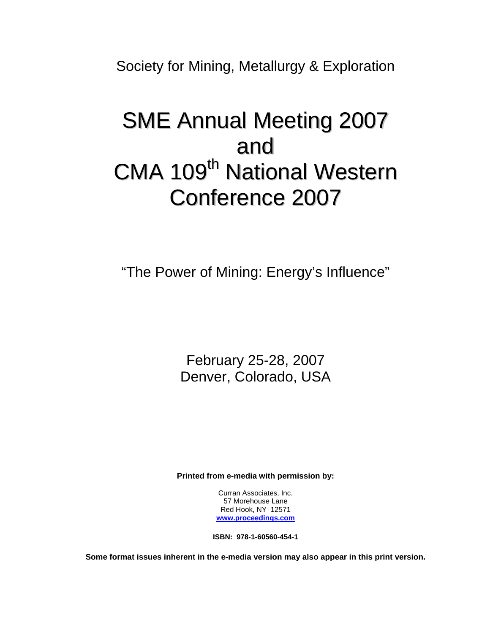Society for Mining, Metallurgy & Exploration

## SME Annual Meeting 2007 and CMA 109<sup>th</sup> National Western Conference 2007

"The Power of Mining: Energy's Influence"

February 25-28, 2007 Denver, Colorado, USA

**Printed from e-media with permission by:** 

Curran Associates, Inc. 57 Morehouse Lane Red Hook, NY 12571 **[www.proceedings.com](http://www.proceedings.com/)**

**ISBN: 978-1-60560-454-1** 

**Some format issues inherent in the e-media version may also appear in this print version.**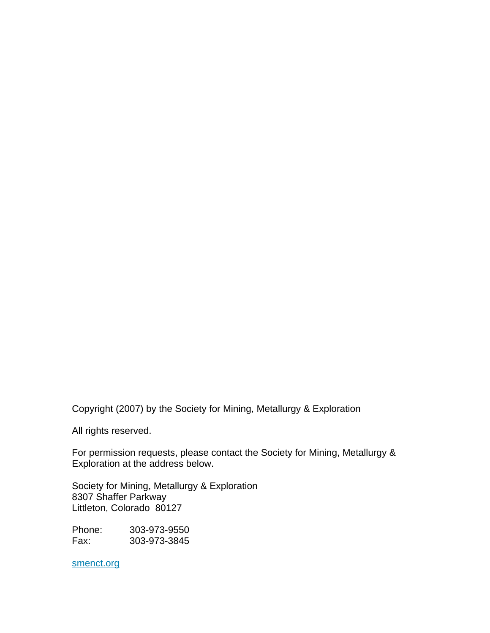Copyright (2007) by the Society for Mining, Metallurgy & Exploration

All rights reserved.

For permission requests, please contact the Society for Mining, Metallurgy & Exploration at the address below.

Society for Mining, Metallurgy & Exploration 8307 Shaffer Parkway Littleton, Colorado 80127

Phone: 303-973-9550 Fax: 303-973-3845

smenct.org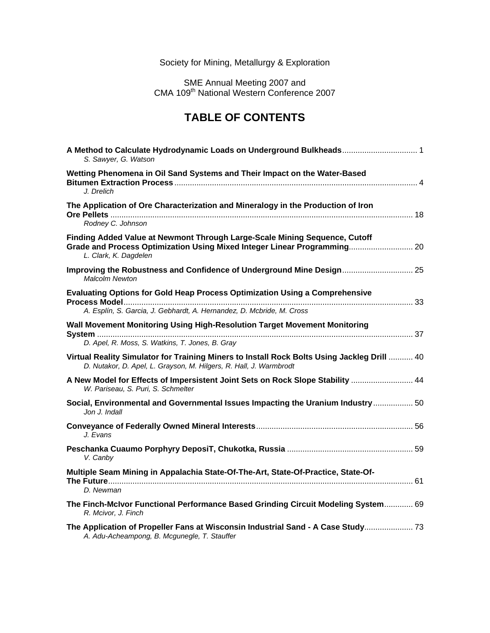## Society for Mining, Metallurgy & Exploration

SME Annual Meeting 2007 and CMA 109<sup>th</sup> National Western Conference 2007

## **TABLE OF CONTENTS**

| A Method to Calculate Hydrodynamic Loads on Underground Bulkheads 1<br>S. Sawyer, G. Watson                                                                                     |  |
|---------------------------------------------------------------------------------------------------------------------------------------------------------------------------------|--|
| Wetting Phenomena in Oil Sand Systems and Their Impact on the Water-Based<br>J. Drelich                                                                                         |  |
| The Application of Ore Characterization and Mineralogy in the Production of Iron<br>Rodney C. Johnson                                                                           |  |
| Finding Added Value at Newmont Through Large-Scale Mining Sequence, Cutoff<br>Grade and Process Optimization Using Mixed Integer Linear Programming 20<br>L. Clark, K. Dagdelen |  |
| Improving the Robustness and Confidence of Underground Mine Design 25<br><b>Malcolm Newton</b>                                                                                  |  |
| Evaluating Options for Gold Heap Process Optimization Using a Comprehensive<br>A. Esplín, S. Garcia, J. Gebhardt, A. Hernandez, D. Mcbride, M. Cross                            |  |
| Wall Movement Monitoring Using High-Resolution Target Movement Monitoring<br>D. Apel, R. Moss, S. Watkins, T. Jones, B. Gray                                                    |  |
| Virtual Reality Simulator for Training Miners to Install Rock Bolts Using Jackleg Drill  40<br>D. Nutakor, D. Apel, L. Grayson, M. Hilgers, R. Hall, J. Warmbrodt               |  |
| A New Model for Effects of Impersistent Joint Sets on Rock Slope Stability  44<br>W. Pariseau, S. Puri, S. Schmelter                                                            |  |
| Social, Environmental and Governmental Issues Impacting the Uranium Industry  50<br>Jon J. Indall                                                                               |  |
| J. Evans                                                                                                                                                                        |  |
| V. Canby                                                                                                                                                                        |  |
| Multiple Seam Mining in Appalachia State-Of-The-Art, State-Of-Practice, State-Of-<br>D. Newman                                                                                  |  |
| The Finch-McIvor Functional Performance Based Grinding Circuit Modeling System 69<br>R. Mcivor, J. Finch                                                                        |  |
| The Application of Propeller Fans at Wisconsin Industrial Sand - A Case Study 73<br>A. Adu-Acheampong, B. Mcgunegle, T. Stauffer                                                |  |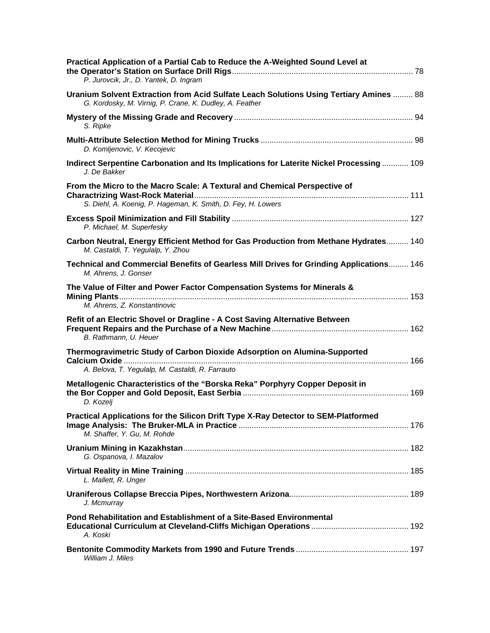| Practical Application of a Partial Cab to Reduce the A-Weighted Sound Level at<br>P. Jurovcik, Jr., D. Yantek, D. Ingram                                 |
|----------------------------------------------------------------------------------------------------------------------------------------------------------|
| <b>Uranium Solvent Extraction from Acid Sulfate Leach Solutions Using Tertiary Amines  88</b><br>G. Kordosky, M. Virnig, P. Crane, K. Dudley, A. Feather |
| S. Ripke                                                                                                                                                 |
| D. Komljenovic, V. Kecojevic                                                                                                                             |
| Indirect Serpentine Carbonation and Its Implications for Laterite Nickel Processing  109<br>J. De Bakker                                                 |
| From the Micro to the Macro Scale: A Textural and Chemical Perspective of<br>S. Diehl, A. Koenig, P. Hageman, K. Smith, D. Fey, H. Lowers                |
| P. Michael, M. Superfesky                                                                                                                                |
| Carbon Neutral, Energy Efficient Method for Gas Production from Methane Hydrates 140<br>M. Castaldi, T. Yegulalp, Y. Zhou                                |
| Technical and Commercial Benefits of Gearless Mill Drives for Grinding Applications 146<br>M. Ahrens, J. Gonser                                          |
| The Value of Filter and Power Factor Compensation Systems for Minerals &<br>M. Ahrens, Z. Konstantinovic                                                 |
| Refit of an Electric Shovel or Dragline - A Cost Saving Alternative Between<br>B. Rathmann, U. Heuer                                                     |
| Thermogravimetric Study of Carbon Dioxide Adsorption on Alumina-Supported<br>A. Belova, T. Yegulalp, M. Castaldi, R. Farrauto                            |
| Metallogenic Characteristics of the "Borska Reka" Porphyry Copper Deposit in<br>D. Kozelj                                                                |
| Practical Applications for the Silicon Drift Type X-Ray Detector to SEM-Platformed<br>M. Shaffer, Y. Gu, M. Rohde                                        |
| G. Ospanova, I. Mazalov                                                                                                                                  |
| L. Mallett, R. Unger                                                                                                                                     |
| J. Mcmurray                                                                                                                                              |
| Pond Rehabilitation and Establishment of a Site-Based Environmental<br>A. Koski                                                                          |
| William J. Miles                                                                                                                                         |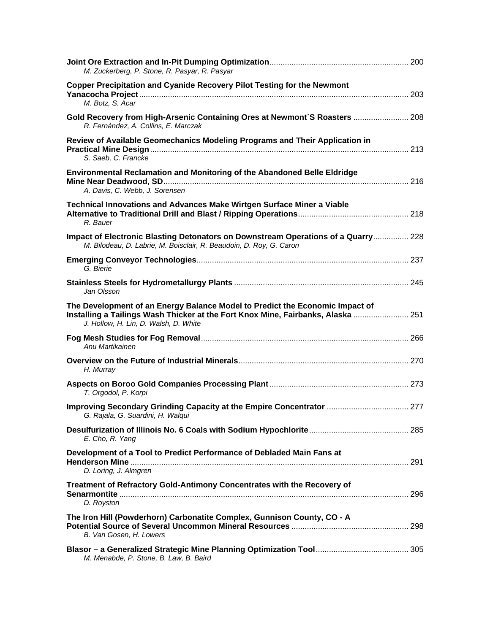| M. Zuckerberg, P. Stone, R. Pasyar, R. Pasyar                                                                                                                                                             |  |
|-----------------------------------------------------------------------------------------------------------------------------------------------------------------------------------------------------------|--|
| Copper Precipitation and Cyanide Recovery Pilot Testing for the Newmont<br>M. Botz, S. Acar                                                                                                               |  |
| Gold Recovery from High-Arsenic Containing Ores at Newmont'S Roasters  208<br>R. Fernández, A. Collins, E. Marczak                                                                                        |  |
| Review of Available Geomechanics Modeling Programs and Their Application in<br>S. Saeb, C. Francke                                                                                                        |  |
| Environmental Reclamation and Monitoring of the Abandoned Belle Eldridge<br>A. Davis, C. Webb, J. Sorensen                                                                                                |  |
| <b>Technical Innovations and Advances Make Wirtgen Surface Miner a Viable</b><br>R. Bauer                                                                                                                 |  |
| Impact of Electronic Blasting Detonators on Downstream Operations of a Quarry 228<br>M. Bilodeau, D. Labrie, M. Boisclair, R. Beaudoin, D. Roy, G. Caron                                                  |  |
| G. Bierie                                                                                                                                                                                                 |  |
| Jan Olsson                                                                                                                                                                                                |  |
| The Development of an Energy Balance Model to Predict the Economic Impact of<br>Installing a Tailings Wash Thicker at the Fort Knox Mine, Fairbanks, Alaska  251<br>J. Hollow, H. Lin, D. Walsh, D. White |  |
| Anu Martikainen                                                                                                                                                                                           |  |
| H. Murray                                                                                                                                                                                                 |  |
| T. Orgodol, P. Korpi                                                                                                                                                                                      |  |
| Improving Secondary Grinding Capacity at the Empire Concentrator  277<br>G. Rajala, G. Suardini, H. Walqui                                                                                                |  |
| E. Cho, R. Yang                                                                                                                                                                                           |  |
| Development of a Tool to Predict Performance of Debladed Main Fans at<br>D. Loring, J. Almgren                                                                                                            |  |
| Treatment of Refractory Gold-Antimony Concentrates with the Recovery of<br>D. Royston                                                                                                                     |  |
| The Iron Hill (Powderhorn) Carbonatite Complex, Gunnison County, CO - A<br>B. Van Gosen, H. Lowers                                                                                                        |  |
| M. Menabde, P. Stone, B. Law, B. Baird                                                                                                                                                                    |  |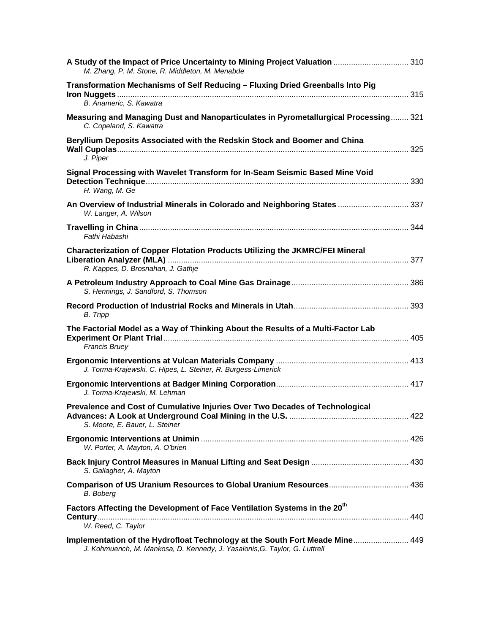| A Study of the Impact of Price Uncertainty to Mining Project Valuation  310<br>M. Zhang, P. M. Stone, R. Middleton, M. Menabde                             |     |
|------------------------------------------------------------------------------------------------------------------------------------------------------------|-----|
| Transformation Mechanisms of Self Reducing - Fluxing Dried Greenballs Into Pig<br>B. Anameric, S. Kawatra                                                  |     |
| Measuring and Managing Dust and Nanoparticulates in Pyrometallurgical Processing 321<br>C. Copeland, S. Kawatra                                            |     |
| Beryllium Deposits Associated with the Redskin Stock and Boomer and China<br>J. Piper                                                                      |     |
| Signal Processing with Wavelet Transform for In-Seam Seismic Based Mine Void<br>H. Wang, M. Ge                                                             |     |
| An Overview of Industrial Minerals in Colorado and Neighboring States  337<br>W. Langer, A. Wilson                                                         |     |
| Fathi Habashi                                                                                                                                              |     |
| Characterization of Copper Flotation Products Utilizing the JKMRC/FEI Mineral<br>R. Kappes, D. Brosnahan, J. Gathje                                        |     |
| S. Hennings, J. Sandford, S. Thomson                                                                                                                       |     |
| <b>B.</b> Tripp                                                                                                                                            |     |
| The Factorial Model as a Way of Thinking About the Results of a Multi-Factor Lab<br><b>Francis Bruey</b>                                                   |     |
| J. Torma-Krajewski, C. Hipes, L. Steiner, R. Burgess-Limerick                                                                                              |     |
| J. Torma-Krajewski, M. Lehman                                                                                                                              |     |
| Prevalence and Cost of Cumulative Injuries Over Two Decades of Technological<br>S. Moore, E. Bauer, L. Steiner                                             |     |
| W. Porter, A. Mayton, A. O'brien                                                                                                                           |     |
| S. Gallagher, A. Mayton                                                                                                                                    |     |
| <b>B.</b> Boberg                                                                                                                                           |     |
| Factors Affecting the Development of Face Ventilation Systems in the 20 <sup>th</sup><br>W. Reed, C. Taylor                                                | 440 |
| Implementation of the Hydrofloat Technology at the South Fort Meade Mine 449<br>J. Kohmuench, M. Mankosa, D. Kennedy, J. Yasalonis, G. Taylor, G. Luttrell |     |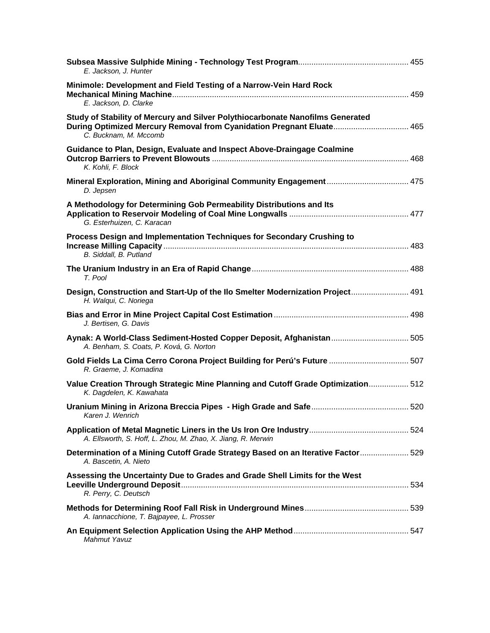| E. Jackson, J. Hunter                                                                                                                                                            |  |
|----------------------------------------------------------------------------------------------------------------------------------------------------------------------------------|--|
| Minimole: Development and Field Testing of a Narrow-Vein Hard Rock<br>E. Jackson, D. Clarke                                                                                      |  |
| Study of Stability of Mercury and Silver Polythiocarbonate Nanofilms Generated<br>During Optimized Mercury Removal from Cyanidation Pregnant Eluate 465<br>C. Bucknam, M. Mccomb |  |
| Guidance to Plan, Design, Evaluate and Inspect Above-Draingage Coalmine<br>K. Kohli, F. Block                                                                                    |  |
| D. Jepsen                                                                                                                                                                        |  |
| A Methodology for Determining Gob Permeability Distributions and Its<br>G. Esterhuizen, C. Karacan                                                                               |  |
| Process Design and Implementation Techniques for Secondary Crushing to<br>B. Siddall, B. Putland                                                                                 |  |
| T. Pool                                                                                                                                                                          |  |
| Design, Construction and Start-Up of the Ilo Smelter Modernization Project 491<br>H. Walqui, C. Noriega                                                                          |  |
| J. Bertisen, G. Davis                                                                                                                                                            |  |
| Aynak: A World-Class Sediment-Hosted Copper Deposit, Afghanistan 505<br>A. Benham, S. Coats, P. Ková, G. Norton                                                                  |  |
| Gold Fields La Cima Cerro Corona Project Building for Perú's Future  507<br>R. Graeme, J. Komadina                                                                               |  |
| Value Creation Through Strategic Mine Planning and Cutoff Grade Optimization 512<br>K. Dagdelen, K. Kawahata                                                                     |  |
| Karen J. Wenrich                                                                                                                                                                 |  |
| A. Ellsworth, S. Hoff, L. Zhou, M. Zhao, X. Jiang, R. Merwin                                                                                                                     |  |
| Determination of a Mining Cutoff Grade Strategy Based on an Iterative Factor 529<br>A. Bascetin, A. Nieto                                                                        |  |
| Assessing the Uncertainty Due to Grades and Grade Shell Limits for the West<br>R. Perry, C. Deutsch                                                                              |  |
| A. lannacchione, T. Bajpayee, L. Prosser                                                                                                                                         |  |
| Mahmut Yavuz                                                                                                                                                                     |  |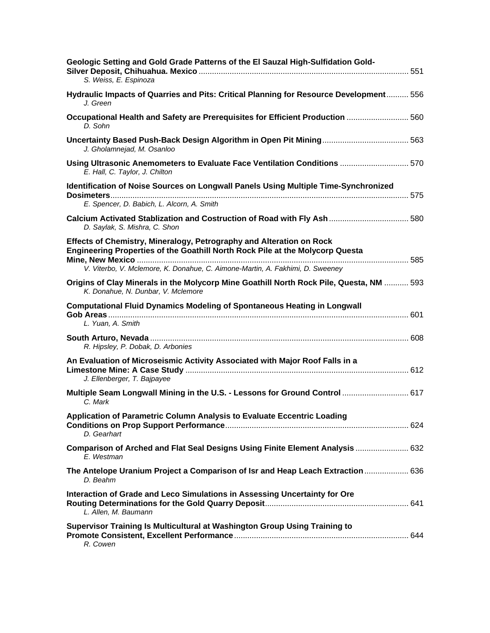| Geologic Setting and Gold Grade Patterns of the El Sauzal High-Sulfidation Gold-<br>S. Weiss, E. Espinoza                                                                                                                              |  |
|----------------------------------------------------------------------------------------------------------------------------------------------------------------------------------------------------------------------------------------|--|
| Hydraulic Impacts of Quarries and Pits: Critical Planning for Resource Development 556<br>J. Green                                                                                                                                     |  |
| Occupational Health and Safety are Prerequisites for Efficient Production  560<br>D. Sohn                                                                                                                                              |  |
| J. Gholamnejad, M. Osanloo                                                                                                                                                                                                             |  |
| Using Ultrasonic Anemometers to Evaluate Face Ventilation Conditions  570<br>E. Hall, C. Taylor, J. Chilton                                                                                                                            |  |
| Identification of Noise Sources on Longwall Panels Using Multiple Time-Synchronized<br>E. Spencer, D. Babich, L. Alcorn, A. Smith                                                                                                      |  |
| Calcium Activated Stablization and Costruction of Road with Fly Ash  580<br>D. Saylak, S. Mishra, C. Shon                                                                                                                              |  |
| Effects of Chemistry, Mineralogy, Petrography and Alteration on Rock<br>Engineering Properties of the Goathill North Rock Pile at the Molycorp Questa<br>V. Viterbo, V. Mclemore, K. Donahue, C. Aimone-Martin, A. Fakhimi, D. Sweeney |  |
| Origins of Clay Minerals in the Molycorp Mine Goathill North Rock Pile, Questa, NM  593<br>K. Donahue, N. Dunbar, V. Mclemore                                                                                                          |  |
| <b>Computational Fluid Dynamics Modeling of Spontaneous Heating in Longwall</b><br>L. Yuan, A. Smith                                                                                                                                   |  |
| R. Hipsley, P. Dobak, D. Arbonies                                                                                                                                                                                                      |  |
| An Evaluation of Microseismic Activity Associated with Major Roof Falls in a<br>J. Ellenberger, T. Bajpayee                                                                                                                            |  |
| Multiple Seam Longwall Mining in the U.S. - Lessons for Ground Control  617<br>C. Mark                                                                                                                                                 |  |
| Application of Parametric Column Analysis to Evaluate Eccentric Loading<br>D. Gearhart                                                                                                                                                 |  |
| Comparison of Arched and Flat Seal Designs Using Finite Element Analysis  632<br>E. Westman                                                                                                                                            |  |
| The Antelope Uranium Project a Comparison of Isr and Heap Leach Extraction  636<br>D. Beahm                                                                                                                                            |  |
| Interaction of Grade and Leco Simulations in Assessing Uncertainty for Ore<br>L. Allen, M. Baumann                                                                                                                                     |  |
| Supervisor Training Is Multicultural at Washington Group Using Training to<br>R. Cowen                                                                                                                                                 |  |